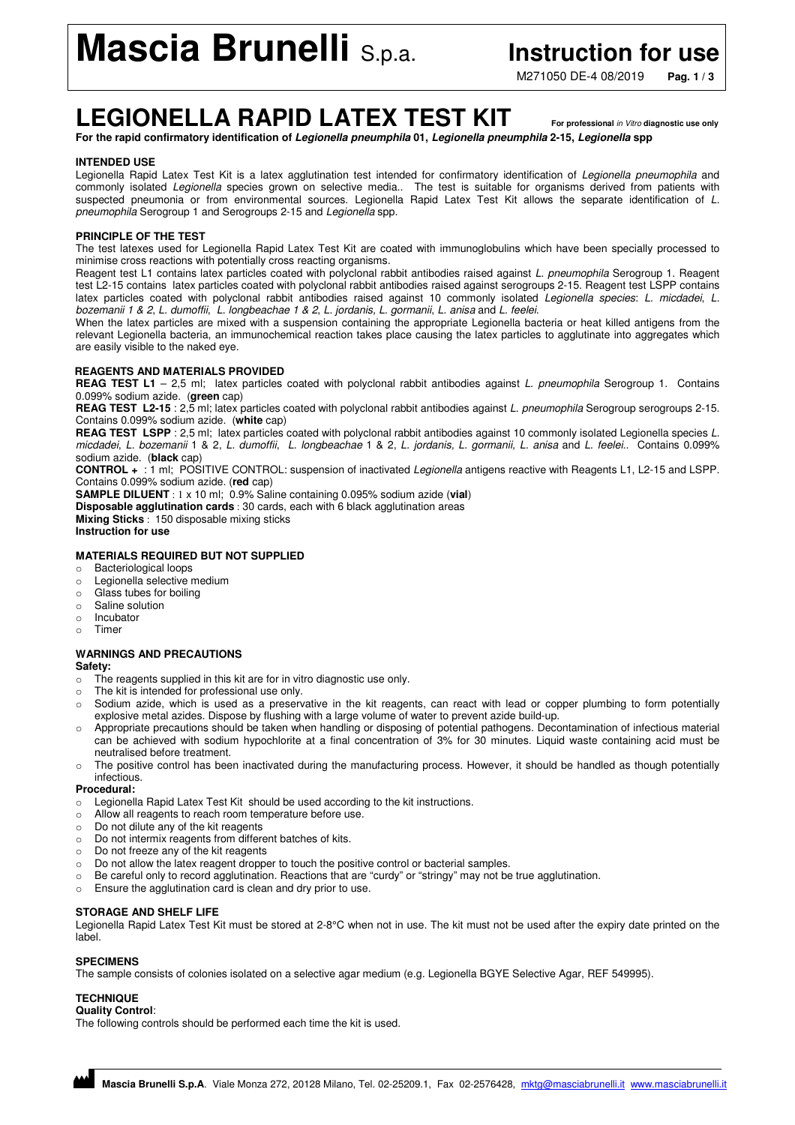# **Mascia Brunelli** S.p.a. **Instruction for use**

M271050 DE-4 08/2019 **Pag. 1 / 3**

## **LEGIONELLA RAPID LATEX TEST KIT For professional** in Vitro **diagnostic use only**

**For the rapid confirmatory identification of Legionella pneumphila 01, Legionella pneumphila 2-15, Legionella spp** 

### **INTENDED USE**

Legionella Rapid Latex Test Kit is a latex agglutination test intended for confirmatory identification of Legionella pneumophila and commonly isolated Legionella species grown on selective media.. The test is suitable for organisms derived from patients with suspected pneumonia or from environmental sources. Legionella Rapid Latex Test Kit allows the separate identification of L. pneumophila Serogroup 1 and Serogroups 2-15 and Legionella spp.

### **PRINCIPLE OF THE TEST**

The test latexes used for Legionella Rapid Latex Test Kit are coated with immunoglobulins which have been specially processed to minimise cross reactions with potentially cross reacting organisms.

Reagent test L1 contains latex particles coated with polyclonal rabbit antibodies raised against L. pneumophila Serogroup 1. Reagent test L2-15 contains latex particles coated with polyclonal rabbit antibodies raised against serogroups 2-15. Reagent test LSPP contains latex particles coated with polyclonal rabbit antibodies raised against 10 commonly isolated Legionella species: L. micdadei, L. bozemanii 1 & 2, L. dumoffii, L. longbeachae 1 & 2, L. jordanis, L. gormanii, L. anisa and L. feelei.

When the latex particles are mixed with a suspension containing the appropriate Legionella bacteria or heat killed antigens from the relevant Legionella bacteria, an immunochemical reaction takes place causing the latex particles to agglutinate into aggregates which are easily visible to the naked eye.

### **REAGENTS AND MATERIALS PROVIDED**

REAG TEST L1 - 2,5 ml; latex particles coated with polyclonal rabbit antibodies against L. pneumophila Serogroup 1. Contains 0.099% sodium azide. (**green** cap)

**REAG TEST L2-15** : 2,5 ml; latex particles coated with polyclonal rabbit antibodies against L. pneumophila Serogroup serogroups 2-15. Contains 0.099% sodium azide. (**white** cap)

REAG TEST LSPP : 2,5 ml; latex particles coated with polyclonal rabbit antibodies against 10 commonly isolated Legionella species L. micdadei, L. bozemanii 1 & 2, L. dumoffii, L. longbeachae 1 & 2, L. jordanis, L. gormanii, L. anisa and L. feelei.. Contains 0.099% sodium azide. (**black** cap)

**CONTROL +** : 1 ml; POSITIVE CONTROL: suspension of inactivated Legionella antigens reactive with Reagents L1, L2-15 and LSPP. Contains 0.099% sodium azide. (**red** cap)

**SAMPLE DILUENT** : 1 x 10 ml; 0.9% Saline containing 0.095% sodium azide (**vial**) **Disposable agglutination cards** : 30 cards, each with 6 black agglutination areas

**Mixing Sticks** : 150 disposable mixing sticks **Instruction for use** 

### **MATERIALS REQUIRED BUT NOT SUPPLIED**

- o Bacteriological loops
- o Legionella selective medium
- o Glass tubes for boiling
- o Saline solution
- o Incubator
- o Timer

### **WARNINGS AND PRECAUTIONS**

### **Safety:**

- o The reagents supplied in this kit are for in vitro diagnostic use only.
- The kit is intended for professional use only.
- o Sodium azide, which is used as a preservative in the kit reagents, can react with lead or copper plumbing to form potentially explosive metal azides. Dispose by flushing with a large volume of water to prevent azide build-up.
- o Appropriate precautions should be taken when handling or disposing of potential pathogens. Decontamination of infectious material can be achieved with sodium hypochlorite at a final concentration of 3% for 30 minutes. Liquid waste containing acid must be neutralised before treatment.
- o The positive control has been inactivated during the manufacturing process. However, it should be handled as though potentially infectious.

**Procedural:** 

- o Legionella Rapid Latex Test Kit should be used according to the kit instructions.
- o Allow all reagents to reach room temperature before use.
- o Do not dilute any of the kit reagents
- o Do not intermix reagents from different batches of kits.
- o Do not freeze any of the kit reagents
- o Do not allow the latex reagent dropper to touch the positive control or bacterial samples.
- o Be careful only to record agglutination. Reactions that are "curdy" or "stringy" may not be true agglutination.
- o Ensure the agglutination card is clean and dry prior to use.

### **STORAGE AND SHELF LIFE**

Legionella Rapid Latex Test Kit must be stored at 2-8°C when not in use. The kit must not be used after the expiry date printed on the label.

### **SPECIMENS**

The sample consists of colonies isolated on a selective agar medium (e.g. Legionella BGYE Selective Agar, REF 549995).

### **TECHNIQUE**

**Quality Control**:

The following controls should be performed each time the kit is used.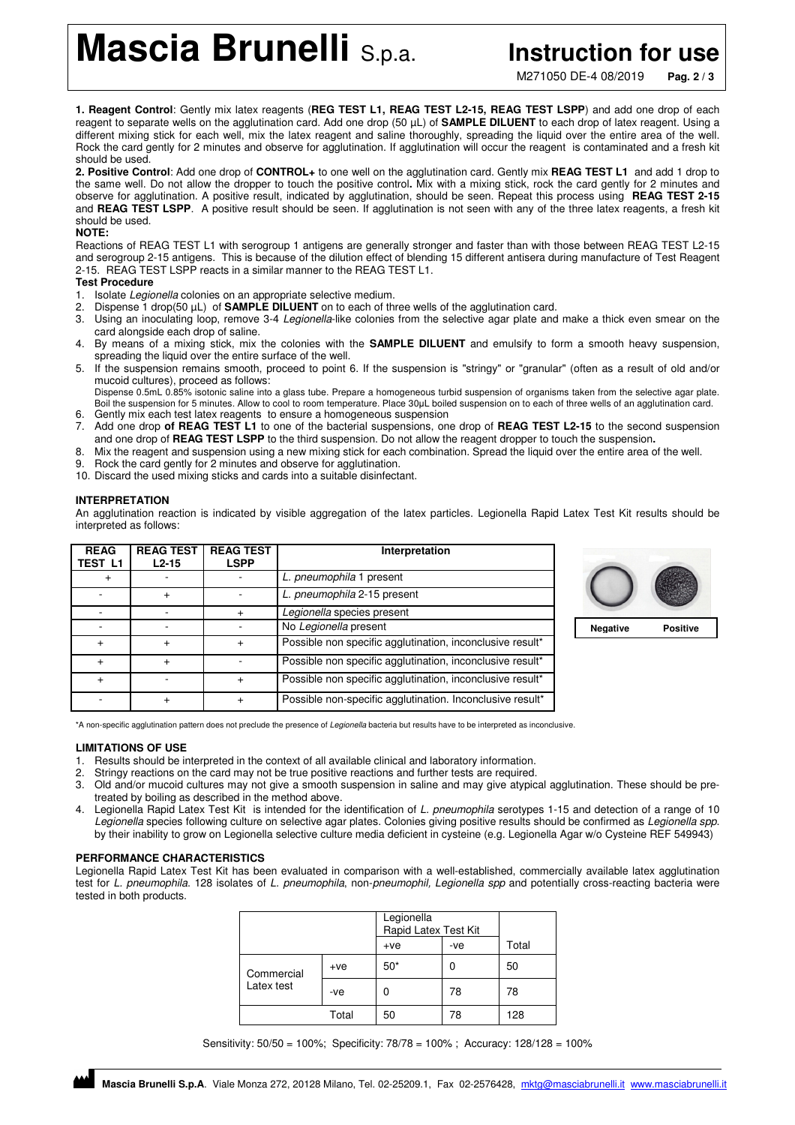**Mascia Brunelli** S.p.a. **Instruction for use** 

M271050 DE-4 08/2019 **Pag. 2 / 3**

**1. Reagent Control**: Gently mix latex reagents (**REG TEST L1, REAG TEST L2-15, REAG TEST LSPP**) and add one drop of each reagent to separate wells on the agglutination card. Add one drop (50 µL) of **SAMPLE DILUENT** to each drop of latex reagent. Using a different mixing stick for each well, mix the latex reagent and saline thoroughly, spreading the liquid over the entire area of the well. Rock the card gently for 2 minutes and observe for agglutination. If agglutination will occur the reagent is contaminated and a fresh kit should be used.

**2. Positive Control**: Add one drop of **CONTROL+** to one well on the agglutination card. Gently mix **REAG TEST L1** and add 1 drop to the same well. Do not allow the dropper to touch the positive control**.** Mix with a mixing stick, rock the card gently for 2 minutes and observe for agglutination. A positive result, indicated by agglutination, should be seen. Repeat this process using **REAG TEST 2-15** and **REAG TEST LSPP**. A positive result should be seen. If agglutination is not seen with any of the three latex reagents, a fresh kit should be used.

### **NOTE:**

Reactions of REAG TEST L1 with serogroup 1 antigens are generally stronger and faster than with those between REAG TEST L2-15 and serogroup 2-15 antigens. This is because of the dilution effect of blending 15 different antisera during manufacture of Test Reagent 2-15. REAG TEST LSPP reacts in a similar manner to the REAG TEST L1.

### **Test Procedure**

- 1. Isolate Legionella colonies on an appropriate selective medium.
- 2. Dispense 1 drop(50  $\mu$ L) of **SAMPLE DILUENT** on to each of three wells of the agglutination card.
- 3. Using an inoculating loop, remove 3-4 Legionella-like colonies from the selective agar plate and make a thick even smear on the card alongside each drop of saline.
- 4. By means of a mixing stick, mix the colonies with the **SAMPLE DILUENT** and emulsify to form a smooth heavy suspension, spreading the liquid over the entire surface of the well.
- 5. If the suspension remains smooth, proceed to point 6. If the suspension is "stringy" or "granular" (often as a result of old and/or mucoid cultures), proceed as follows:
- Dispense 0.5mL 0.85% isotonic saline into a glass tube. Prepare a homogeneous turbid suspension of organisms taken from the selective agar plate. Boil the suspension for 5 minutes. Allow to cool to room temperature. Place 30µL boiled suspension on to each of three wells of an agglutination card. 6. Gently mix each test latex reagents to ensure a homogeneous suspension
- 7. Add one drop **of REAG TEST L1** to one of the bacterial suspensions, one drop of **REAG TEST L2-15** to the second suspension and one drop of **REAG TEST LSPP** to the third suspension. Do not allow the reagent dropper to touch the suspension**.**
- 8. Mix the reagent and suspension using a new mixing stick for each combination. Spread the liquid over the entire area of the well.
- Rock the card gently for 2 minutes and observe for agglutination.
- 10. Discard the used mixing sticks and cards into a suitable disinfectant.

### **INTERPRETATION**

An agglutination reaction is indicated by visible aggregation of the latex particles. Legionella Rapid Latex Test Kit results should be interpreted as follows:

| <b>REAG</b><br><b>TEST L1</b> | <b>REAG TEST</b><br>$L2-15$ | <b>REAG TEST</b><br>LSPP | Interpretation                                            |  |  |  |
|-------------------------------|-----------------------------|--------------------------|-----------------------------------------------------------|--|--|--|
|                               |                             |                          | L. pneumophila 1 present                                  |  |  |  |
|                               |                             |                          | L. pneumophila 2-15 present                               |  |  |  |
|                               |                             | $\ddot{}$                | Legionella species present                                |  |  |  |
|                               |                             |                          | No Legionella present                                     |  |  |  |
| $\ddot{}$                     |                             | $\ddot{}$                | Possible non specific agglutination, inconclusive result* |  |  |  |
| $\ddot{}$                     |                             |                          | Possible non specific agglutination, inconclusive result* |  |  |  |
| $\ddot{}$                     |                             | $\ddot{}$                | Possible non specific agglutination, inconclusive result* |  |  |  |
|                               |                             | $\ddot{}$                | Possible non-specific agglutination. Inconclusive result* |  |  |  |



\*A non-specific agglutination pattern does not preclude the presence of Legionella bacteria but results have to be interpreted as inconclusive.

### **LIMITATIONS OF USE**

- 1. Results should be interpreted in the context of all available clinical and laboratory information.
- Stringy reactions on the card may not be true positive reactions and further tests are required.
- 3. Old and/or mucoid cultures may not give a smooth suspension in saline and may give atypical agglutination. These should be pretreated by boiling as described in the method above.
- 4. Legionella Rapid Latex Test Kit is intended for the identification of L. pneumophila serotypes 1-15 and detection of a range of 10 Legionella species following culture on selective agar plates. Colonies giving positive results should be confirmed as Legionella spp. by their inability to grow on Legionella selective culture media deficient in cysteine (e.g. Legionella Agar w/o Cysteine REF 549943)

### **PERFORMANCE CHARACTERISTICS**

Legionella Rapid Latex Test Kit has been evaluated in comparison with a well-established, commercially available latex agglutination test for L. pneumophila. 128 isolates of L. pneumophila, non-pneumophil, Legionella spp and potentially cross-reacting bacteria were tested in both products.

|            |       | Legionella<br>Rapid Latex Test Kit |     |       |
|------------|-------|------------------------------------|-----|-------|
|            |       | $+ve$                              | -ve | Total |
| Commercial | $+ve$ | $50*$                              |     | 50    |
| Latex test | -ve   | 0                                  | 78  | 78    |
|            | Total | 50                                 | 78  | 128   |

Sensitivity: 50/50 = 100%; Specificity: 78/78 = 100% ; Accuracy: 128/128 = 100%